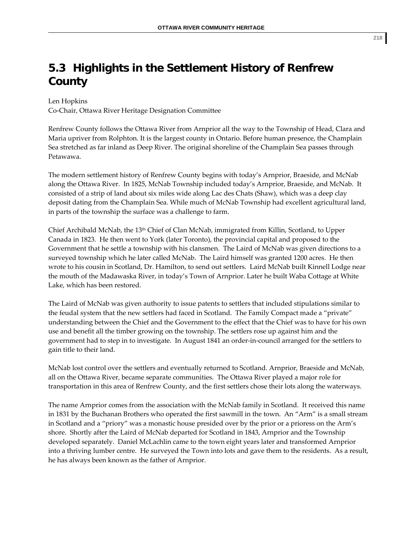## **5.3 Highlights in the Settlement History of Renfrew County**

Len Hopkins

Co‐Chair, Ottawa River Heritage Designation Committee

Renfrew County follows the Ottawa River from Arnprior all the way to the Township of Head, Clara and Maria upriver from Rolphton. It is the largest county in Ontario. Before human presence, the Champlain Sea stretched as far inland as Deep River. The original shoreline of the Champlain Sea passes through Petawawa.

The modern settlement history of Renfrew County begins with today's Arnprior, Braeside, and McNab along the Ottawa River. In 1825, McNab Township included today's Arnprior, Braeside, and McNab. It consisted of a strip of land about six miles wide along Lac des Chats (Shaw), which was a deep clay deposit dating from the Champlain Sea. While much of McNab Township had excellent agricultural land, in parts of the township the surface was a challenge to farm.

Chief Archibald McNab, the 13<sup>th</sup> Chief of Clan McNab, immigrated from Killin, Scotland, to Upper Canada in 1823. He then went to York (later Toronto), the provincial capital and proposed to the Government that he settle a township with his clansmen. The Laird of McNab was given directions to a surveyed township which he later called McNab. The Laird himself was granted 1200 acres. He then wrote to his cousin in Scotland, Dr. Hamilton, to send out settlers. Laird McNab built Kinnell Lodge near the mouth of the Madawaska River, in today's Town of Arnprior. Later he built Waba Cottage at White Lake, which has been restored.

The Laird of McNab was given authority to issue patents to settlers that included stipulations similar to the feudal system that the new settlers had faced in Scotland. The Family Compact made a "private" understanding between the Chief and the Government to the effect that the Chief was to have for his own use and benefit all the timber growing on the township. The settlers rose up against him and the government had to step in to investigate. In August 1841 an order‐in‐council arranged for the settlers to gain title to their land.

McNab lost control over the settlers and eventually returned to Scotland. Arnprior, Braeside and McNab, all on the Ottawa River, became separate communities. The Ottawa River played a major role for transportation in this area of Renfrew County, and the first settlers chose their lots along the waterways.

The name Arnprior comes from the association with the McNab family in Scotland. It received this name in 1831 by the Buchanan Brothers who operated the first sawmill in the town. An "Arm" is a small stream in Scotland and a "priory" was a monastic house presided over by the prior or a prioress on the Arm's shore. Shortly after the Laird of McNab departed for Scotland in 1843, Arnprior and the Township developed separately. Daniel McLachlin came to the town eight years later and transformed Arnprior into a thriving lumber centre. He surveyed the Town into lots and gave them to the residents. As a result, he has always been known as the father of Arnprior.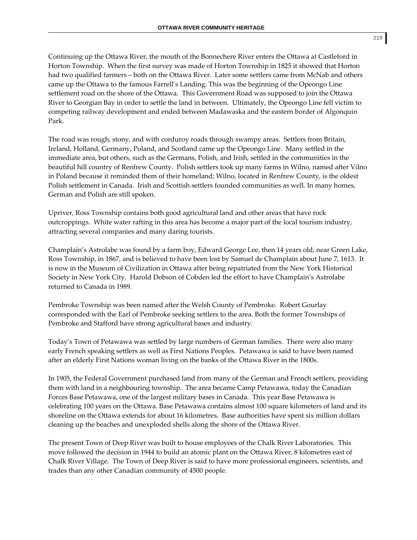Continuing up the Ottawa River, the mouth of the Bonnechere River enters the Ottawa at Castleford in Horton Township. When the first survey was made of Horton Township in 1825 it showed that Horton had two qualified farmers – both on the Ottawa River. Later some settlers came from McNab and others came up the Ottawa to the famous Farrell's Landing. This was the beginning of the Opeongo Line settlement road on the shore of the Ottawa. This Government Road was supposed to join the Ottawa River to Georgian Bay in order to settle the land in between. Ultimately, the Opeongo Line fell victim to competing railway development and ended between Madawaska and the eastern border of Algonquin Park.

The road was rough, stony, and with corduroy roads through swampy areas. Settlers from Britain, Ireland, Holland, Germany, Poland, and Scotland came up the Opeongo Line. Many settled in the immediate area, but others, such as the Germans, Polish, and Irish, settled in the communities in the beautiful hill country of Renfrew County. Polish settlers took up many farms in Wilno, named after Vilno in Poland because it reminded them of their homeland; Wilno, located in Renfrew County, is the oldest Polish settlement in Canada. Irish and Scottish settlers founded communities as well. In many homes, German and Polish are still spoken.

Upriver, Ross Township contains both good agricultural land and other areas that have rock outcroppings. White water rafting in this area has become a major part of the local tourism industry, attracting several companies and many daring tourists.

Champlain's Astrolabe was found by a farm boy, Edward George Lee, then 14 years old, near Green Lake, Ross Township, in 1867, and is believed to have been lost by Samuel de Champlain about June 7, 1613. It is now in the Museum of Civilization in Ottawa after being repatriated from the New York Historical Society in New York City. Harold Dobson of Cobden led the effort to have Champlain's Astrolabe returned to Canada in 1989.

Pembroke Township was been named after the Welsh County of Pembroke. Robert Gourlay corresponded with the Earl of Pembroke seeking settlers to the area. Both the former Townships of Pembroke and Stafford have strong agricultural bases and industry.

Today's Town of Petawawa was settled by large numbers of German families. There were also many early French speaking settlers as well as First Nations Peoples. Petawawa is said to have been named after an elderly First Nations woman living on the banks of the Ottawa River in the 1800s.

In 1905, the Federal Government purchased land from many of the German and French settlers, providing them with land in a neighbouring township. The area became Camp Petawawa, today the Canadian Forces Base Petawawa, one of the largest military bases in Canada. This year Base Petawawa is celebrating 100 years on the Ottawa. Base Petawawa contains almost 100 square kilometers of land and its shoreline on the Ottawa extends for about 16 kilometres. Base authorities have spent six million dollars cleaning up the beaches and unexploded shells along the shore of the Ottawa River.

The present Town of Deep River was built to house employees of the Chalk River Laboratories. This move followed the decision in 1944 to build an atomic plant on the Ottawa River, 8 kilometres east of Chalk River Village. The Town of Deep River is said to have more professional engineers, scientists, and trades than any other Canadian community of 4500 people.